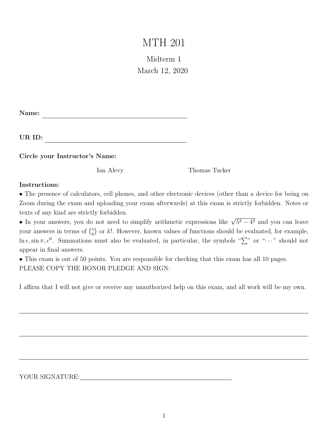# MTH 201

# Midterm 1 March 12, 2020

| Name: |
|-------|
|-------|

UR ID:

Circle your Instructor's Name:

Ian Alevy Thomas Tucker

#### Instructions:

• The presence of calculators, cell phones, and other electronic devices (other than a device for being on Zoom during the exam and uploading your exam afterwards) at this exam is strictly forbidden. Notes or texts of any kind are strictly forbidden.

• In your answers, you do not need to simplify arithmetic expressions like  $\sqrt{5^2 - 4^2}$  and you can leave your answers in terms of  $\binom{n}{k}$  $\binom{n}{k}$  or k!. However, known values of functions should be evaluated, for example,  $\ln e, \sin \pi, e^0$ . Summations must also be evaluated, in particular, the symbols " $\sum$ " or " $\cdots$ " should not appear in final answers.

• This exam is out of 50 points. You are responsible for checking that this exam has all 10 pages. PLEASE COPY THE HONOR PLEDGE AND SIGN:

I affirm that I will not give or receive any unauthorized help on this exam, and all work will be my own.

YOUR SIGNATURE: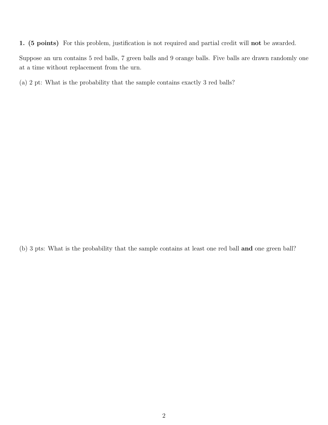1. (5 points) For this problem, justification is not required and partial credit will not be awarded.

Suppose an urn contains 5 red balls, 7 green balls and 9 orange balls. Five balls are drawn randomly one at a time without replacement from the urn.

(a) 2 pt: What is the probability that the sample contains exactly 3 red balls?

(b) 3 pts: What is the probability that the sample contains at least one red ball and one green ball?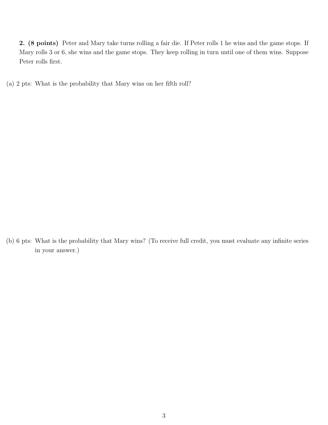2. (8 points) Peter and Mary take turns rolling a fair die. If Peter rolls 1 he wins and the game stops. If Mary rolls 3 or 6, she wins and the game stops. They keep rolling in turn until one of them wins. Suppose Peter rolls first.

(a) 2 pts: What is the probability that Mary wins on her fifth roll?

(b) 6 pts: What is the probability that Mary wins? (To receive full credit, you must evaluate any infinite series in your answer.)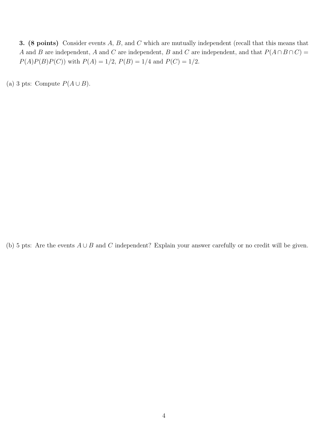3. (8 points) Consider events A, B, and C which are mutually independent (recall that this means that A and B are independent, A and C are independent, B and C are independent, and that  $P(A \cap B \cap C)$  =  $P(A)P(B)P(C)$  with  $P(A) = 1/2$ ,  $P(B) = 1/4$  and  $P(C) = 1/2$ .

(a) 3 pts: Compute  $P(A \cup B)$ .

(b) 5 pts: Are the events  $A \cup B$  and C independent? Explain your answer carefully or no credit will be given.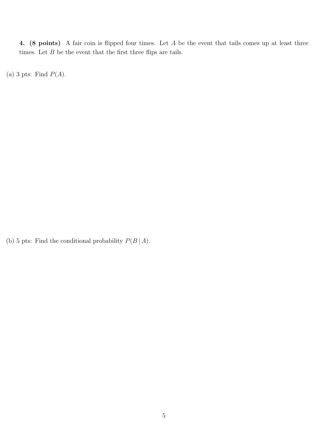4. (8 points) A fair coin is flipped four times. Let A be the event that tails comes up at least three times. Let  $\cal B$  be the event that the first three flips are tails.

(a) 3 pts: Find  $P(A)$ .

(b) 5 pts: Find the conditional probability  $P(B \mid A)$ .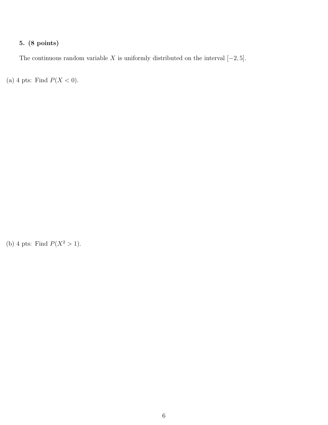## 5. (8 points)

The continuous random variable X is uniformly distributed on the interval  $[-2, 5]$ .

(a) 4 pts: Find  $P(X < 0)$ .

(b) 4 pts: Find  $P(X^2 > 1)$ .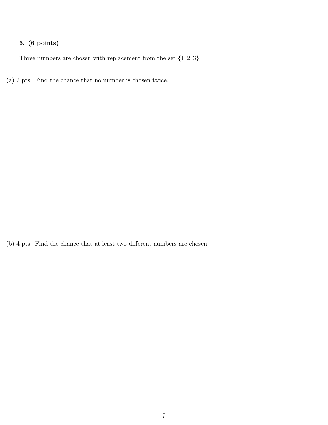## 6. (6 points)

Three numbers are chosen with replacement from the set  $\{1, 2, 3\}$ .

(a) 2 pts: Find the chance that no number is chosen twice.

(b) 4 pts: Find the chance that at least two different numbers are chosen.